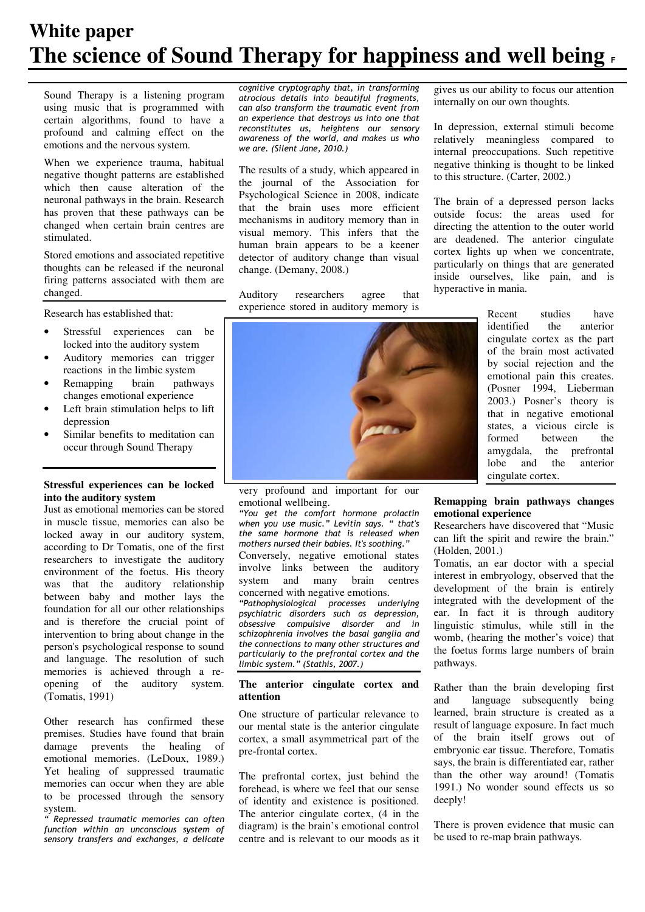# **White paper The science of Sound Therapy for happiness and well being <sup>F</sup>**

Sound Therapy is a listening program using music that is programmed with certain algorithms, found to have a profound and calming effect on the emotions and the nervous system.

When we experience trauma, habitual negative thought patterns are established which then cause alteration of the neuronal pathways in the brain. Research has proven that these pathways can be changed when certain brain centres are stimulated.

Stored emotions and associated repetitive thoughts can be released if the neuronal firing patterns associated with them are changed.

Research has established that:

- Stressful experiences can be locked into the auditory system
- Auditory memories can trigger reactions in the limbic system
- Remapping brain pathways changes emotional experience
- Left brain stimulation helps to lift depression
- Similar benefits to meditation can occur through Sound Therapy

## **Stressful experiences can be locked into the auditory system**

Just as emotional memories can be stored in muscle tissue, memories can also be locked away in our auditory system, according to Dr Tomatis, one of the first researchers to investigate the auditory environment of the foetus. His theory was that the auditory relationship between baby and mother lays the foundation for all our other relationships and is therefore the crucial point of intervention to bring about change in the person's psychological response to sound and language. The resolution of such memories is achieved through a reopening of the auditory system. (Tomatis, 1991)

Other research has confirmed these premises. Studies have found that brain damage prevents the healing of emotional memories. (LeDoux, 1989.) Yet healing of suppressed traumatic memories can occur when they are able to be processed through the sensory system.

" Repressed traumatic memories can often function within an unconscious system of sensory transfers and exchanges, a delicate cognitive cryptography that, in transforming atrocious details into beautiful fragments, can also transform the traumatic event from an experience that destroys us into one that reconstitutes us, heightens our sensory awareness of the world, and makes us who we are. (Silent Jane, 2010.)

The results of a study, which appeared in the journal of the Association for Psychological Science in 2008, indicate that the brain uses more efficient mechanisms in auditory memory than in visual memory. This infers that the human brain appears to be a keener detector of auditory change than visual change. (Demany, 2008.)

Auditory researchers agree that experience stored in auditory memory is

very profound and important for our emotional wellbeing.

"You get the comfort hormone prolactin when you use music." Levitin says. " that's the same hormone that is released when mothers nursed their babies. It's soothing." Conversely, negative emotional states involve links between the auditory system and many brain centres concerned with negative emotions.

"Pathophysiological processes underlying psychiatric disorders such as depression, obsessive compulsive disorder and in schizophrenia involves the basal ganglia and the connections to many other structures and particularly to the prefrontal cortex and the limbic system." (Stathis, 2007.)

#### **The anterior cingulate cortex and attention**

One structure of particular relevance to our mental state is the anterior cingulate cortex, a small asymmetrical part of the pre-frontal cortex.

The prefrontal cortex, just behind the forehead, is where we feel that our sense of identity and existence is positioned. The anterior cingulate cortex, (4 in the diagram) is the brain's emotional control centre and is relevant to our moods as it gives us our ability to focus our attention internally on our own thoughts.

In depression, external stimuli become relatively meaningless compared to internal preoccupations. Such repetitive negative thinking is thought to be linked to this structure. (Carter, 2002.)

The brain of a depressed person lacks outside focus: the areas used for directing the attention to the outer world are deadened. The anterior cingulate cortex lights up when we concentrate, particularly on things that are generated inside ourselves, like pain, and is hyperactive in mania.

> Recent studies have<br>identified the anterior identified cingulate cortex as the part of the brain most activated by social rejection and the emotional pain this creates. (Posner 1994, Lieberman 2003.) Posner's theory is that in negative emotional states, a vicious circle is formed between the amygdala, the prefrontal lobe and the anterior cingulate cortex.

## **Remapping brain pathways changes emotional experience**

Researchers have discovered that "Music can lift the spirit and rewire the brain." (Holden, 2001.)

Tomatis, an ear doctor with a special interest in embryology, observed that the development of the brain is entirely integrated with the development of the ear. In fact it is through auditory linguistic stimulus, while still in the womb, (hearing the mother's voice) that the foetus forms large numbers of brain pathways.

Rather than the brain developing first and language subsequently being learned, brain structure is created as a result of language exposure. In fact much of the brain itself grows out of embryonic ear tissue. Therefore, Tomatis says, the brain is differentiated ear, rather than the other way around! (Tomatis 1991.) No wonder sound effects us so deeply!

There is proven evidence that music can be used to re-map brain pathways.